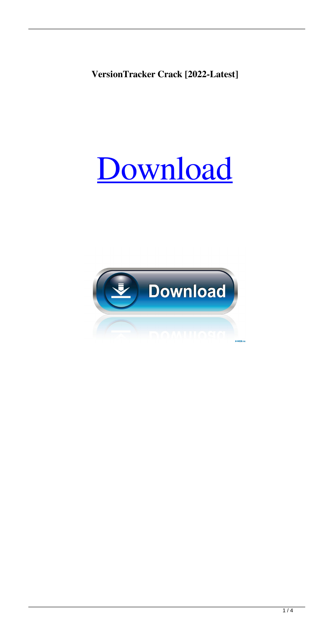**VersionTracker Crack [2022-Latest]**

# [Download](http://evacdir.com/baclofen/fixings/ZG93bmxvYWR8YzhEWW1KdGFueDhNVFkxTkRVMU9UY3dNbng4TWpVM05IeDhLRTBwSUhKbFlXUXRZbXh2WnlCYlJtRnpkQ0JIUlU1ZA.guaranteed/hydrophilic.VmVyc2lvblRyYWNrZXIVmV.davidz?idyllic=keelung)

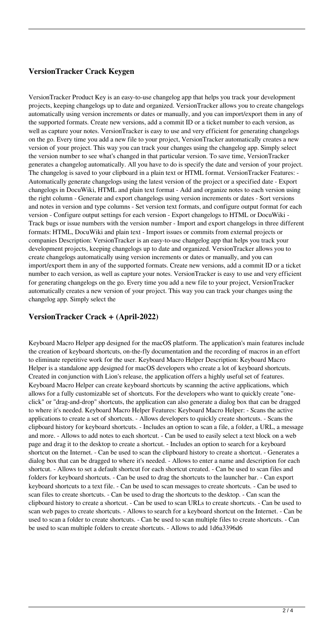### **VersionTracker Crack Keygen**

VersionTracker Product Key is an easy-to-use changelog app that helps you track your development projects, keeping changelogs up to date and organized. VersionTracker allows you to create changelogs automatically using version increments or dates or manually, and you can import/export them in any of the supported formats. Create new versions, add a commit ID or a ticket number to each version, as well as capture your notes. VersionTracker is easy to use and very efficient for generating changelogs on the go. Every time you add a new file to your project, VersionTracker automatically creates a new version of your project. This way you can track your changes using the changelog app. Simply select the version number to see what's changed in that particular version. To save time, VersionTracker generates a changelog automatically. All you have to do is specify the date and version of your project. The changelog is saved to your clipboard in a plain text or HTML format. VersionTracker Features: - Automatically generate changelogs using the latest version of the project or a specified date - Export changelogs in DocuWiki, HTML and plain text format - Add and organize notes to each version using the right column - Generate and export changelogs using version increments or dates - Sort versions and notes in version and type columns - Set version text formats, and configure output format for each version - Configure output settings for each version - Export changelogs to HTML or DocuWiki - Track bugs or issue numbers with the version number - Import and export changelogs in three different formats: HTML, DocuWiki and plain text - Import issues or commits from external projects or companies Description: VersionTracker is an easy-to-use changelog app that helps you track your development projects, keeping changelogs up to date and organized. VersionTracker allows you to create changelogs automatically using version increments or dates or manually, and you can import/export them in any of the supported formats. Create new versions, add a commit ID or a ticket number to each version, as well as capture your notes. VersionTracker is easy to use and very efficient for generating changelogs on the go. Every time you add a new file to your project, VersionTracker automatically creates a new version of your project. This way you can track your changes using the changelog app. Simply select the

#### **VersionTracker Crack + (April-2022)**

Keyboard Macro Helper app designed for the macOS platform. The application's main features include the creation of keyboard shortcuts, on-the-fly documentation and the recording of macros in an effort to eliminate repetitive work for the user. Keyboard Macro Helper Description: Keyboard Macro Helper is a standalone app designed for macOS developers who create a lot of keyboard shortcuts. Created in conjunction with Lion's release, the application offers a highly useful set of features. Keyboard Macro Helper can create keyboard shortcuts by scanning the active applications, which allows for a fully customizable set of shortcuts. For the developers who want to quickly create "oneclick" or "drag-and-drop" shortcuts, the application can also generate a dialog box that can be dragged to where it's needed. Keyboard Macro Helper Features: Keyboard Macro Helper: - Scans the active applications to create a set of shortcuts. - Allows developers to quickly create shortcuts. - Scans the clipboard history for keyboard shortcuts. - Includes an option to scan a file, a folder, a URL, a message and more. - Allows to add notes to each shortcut. - Can be used to easily select a text block on a web page and drag it to the desktop to create a shortcut. - Includes an option to search for a keyboard shortcut on the Internet. - Can be used to scan the clipboard history to create a shortcut. - Generates a dialog box that can be dragged to where it's needed. - Allows to enter a name and description for each shortcut. - Allows to set a default shortcut for each shortcut created. - Can be used to scan files and folders for keyboard shortcuts. - Can be used to drag the shortcuts to the launcher bar. - Can export keyboard shortcuts to a text file. - Can be used to scan messages to create shortcuts. - Can be used to scan files to create shortcuts. - Can be used to drag the shortcuts to the desktop. - Can scan the clipboard history to create a shortcut. - Can be used to scan URLs to create shortcuts. - Can be used to scan web pages to create shortcuts. - Allows to search for a keyboard shortcut on the Internet. - Can be used to scan a folder to create shortcuts. - Can be used to scan multiple files to create shortcuts. - Can be used to scan multiple folders to create shortcuts. - Allows to add 1d6a3396d6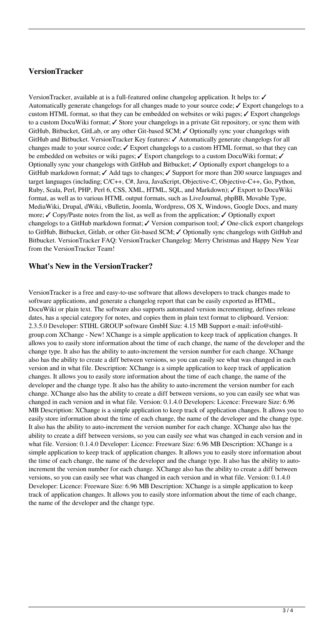### **VersionTracker**

VersionTracker, available at is a full-featured online changelog application. It helps to: ✓ Automatically generate changelogs for all changes made to your source code; ✓ Export changelogs to a custom HTML format, so that they can be embedded on websites or wiki pages;  $\checkmark$  Export changelogs to a custom DocuWiki format; ✓ Store your changelogs in a private Git repository, or sync them with GitHub, Bitbucket, GitLab, or any other Git-based SCM; ✓ Optionally sync your changelogs with GitHub and Bitbucket. VersionTracker Key features: ✓ Automatically generate changelogs for all changes made to your source code;  $\checkmark$  Export changelogs to a custom HTML format, so that they can be embedded on websites or wiki pages;  $\checkmark$  Export changelogs to a custom DocuWiki format;  $\checkmark$ Optionally sync your changelogs with GitHub and Bitbucket; ✓ Optionally export changelogs to a GitHub markdown format; ✓ Add tags to changes; ✓ Support for more than 200 source languages and target languages (including; C/C++, C#, Java, JavaScript, Objective-C, Objective-C++, Go, Python, Ruby, Scala, Perl, PHP, Perl 6, CSS, XML, HTML, SQL, and Markdown); ✓ Export to DocuWiki format, as well as to various HTML output formats, such as LiveJournal, phpBB, Movable Type, MediaWiki, Drupal, dWiki, vBulletin, Joomla, Wordpress, OS X, Windows, Google Docs, and many more;  $\checkmark$  Copy/Paste notes from the list, as well as from the application;  $\checkmark$  Optionally export changelogs to a GitHub markdown format; ✓ Version comparison tool; ✓ One-click export changelogs to GitHub, Bitbucket, Gitlab, or other Git-based SCM; ✓ Optionally sync changelogs with GitHub and Bitbucket. VersionTracker FAQ: VersionTracker Changelog: Merry Christmas and Happy New Year from the VersionTracker Team!

#### **What's New in the VersionTracker?**

VersionTracker is a free and easy-to-use software that allows developers to track changes made to software applications, and generate a changelog report that can be easily exported as HTML, DocuWiki or plain text. The software also supports automated version incrementing, defines release dates, has a special category for notes, and copies them in plain text format to clipboard. Version: 2.3.5.0 Developer: STIHL GROUP software GmbH Size: 4.15 MB Support e-mail: info@stihlgroup.com XChange - New! XChange is a simple application to keep track of application changes. It allows you to easily store information about the time of each change, the name of the developer and the change type. It also has the ability to auto-increment the version number for each change. XChange also has the ability to create a diff between versions, so you can easily see what was changed in each version and in what file. Description: XChange is a simple application to keep track of application changes. It allows you to easily store information about the time of each change, the name of the developer and the change type. It also has the ability to auto-increment the version number for each change. XChange also has the ability to create a diff between versions, so you can easily see what was changed in each version and in what file. Version: 0.1.4.0 Developers: Licence: Freeware Size: 6.96 MB Description: XChange is a simple application to keep track of application changes. It allows you to easily store information about the time of each change, the name of the developer and the change type. It also has the ability to auto-increment the version number for each change. XChange also has the ability to create a diff between versions, so you can easily see what was changed in each version and in what file. Version: 0.1.4.0 Developer: Licence: Freeware Size: 6.96 MB Description: XChange is a simple application to keep track of application changes. It allows you to easily store information about the time of each change, the name of the developer and the change type. It also has the ability to autoincrement the version number for each change. XChange also has the ability to create a diff between versions, so you can easily see what was changed in each version and in what file. Version: 0.1.4.0 Developer: Licence: Freeware Size: 6.96 MB Description: XChange is a simple application to keep track of application changes. It allows you to easily store information about the time of each change, the name of the developer and the change type.